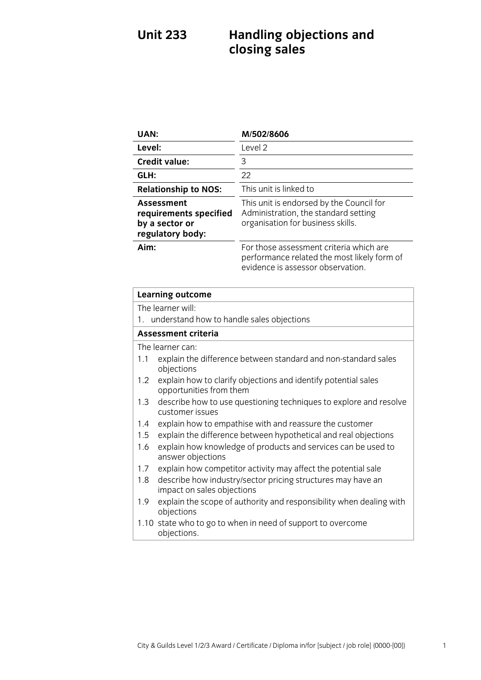# **Unit 233 Handling objections and closing sales**

| UAN:                                                                              | M/502/8606                                                                                                                  |
|-----------------------------------------------------------------------------------|-----------------------------------------------------------------------------------------------------------------------------|
| Level:                                                                            | Level 2                                                                                                                     |
| <b>Credit value:</b>                                                              | 3                                                                                                                           |
| GLH:                                                                              | 22                                                                                                                          |
| <b>Relationship to NOS:</b>                                                       | This unit is linked to                                                                                                      |
| <b>Assessment</b><br>requirements specified<br>by a sector or<br>regulatory body: | This unit is endorsed by the Council for<br>Administration, the standard setting<br>organisation for business skills.       |
| Aim:                                                                              | For those assessment criteria which are<br>performance related the most likely form of<br>evidence is assessor observation. |

| <b>Learning outcome</b>                      |                                                                                           |  |
|----------------------------------------------|-------------------------------------------------------------------------------------------|--|
| The learner will:                            |                                                                                           |  |
| 1. understand how to handle sales objections |                                                                                           |  |
| Assessment criteria                          |                                                                                           |  |
| The learner can:                             |                                                                                           |  |
| 1.1                                          | explain the difference between standard and non-standard sales<br>objections              |  |
| $1.2^{\circ}$                                | explain how to clarify objections and identify potential sales<br>opportunities from them |  |
| 1.3                                          | describe how to use questioning techniques to explore and resolve<br>customer issues      |  |
| 1.4                                          | explain how to empathise with and reassure the customer                                   |  |
| 1.5                                          | explain the difference between hypothetical and real objections                           |  |
| 1.6                                          | explain how knowledge of products and services can be used to<br>answer objections        |  |
| 1.7                                          | explain how competitor activity may affect the potential sale                             |  |
| 1.8                                          | describe how industry/sector pricing structures may have an<br>impact on sales objections |  |
| 1.9                                          | explain the scope of authority and responsibility when dealing with<br>objections         |  |
|                                              | 1.10 state who to go to when in need of support to overcome<br>objections.                |  |